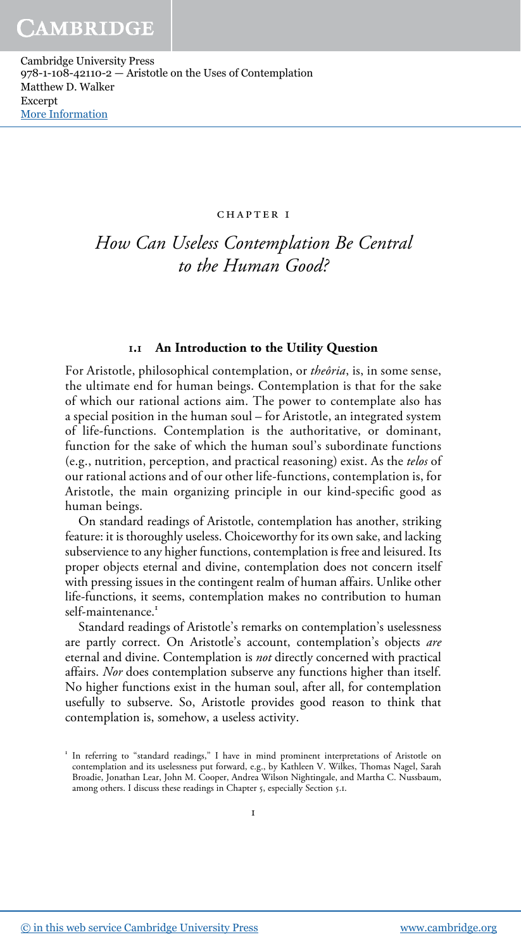#### chapter 1

How Can Useless Contemplation Be Central to the Human Good?

### 1.1 An Introduction to the Utility Question

For Aristotle, philosophical contemplation, or theôria, is, in some sense, the ultimate end for human beings. Contemplation is that for the sake of which our rational actions aim. The power to contemplate also has a special position in the human soul – for Aristotle, an integrated system of life-functions. Contemplation is the authoritative, or dominant, function for the sake of which the human soul's subordinate functions (e.g., nutrition, perception, and practical reasoning) exist. As the telos of our rational actions and of our other life-functions, contemplation is, for Aristotle, the main organizing principle in our kind-specific good as human beings.

On standard readings of Aristotle, contemplation has another, striking feature: it is thoroughly useless. Choiceworthy for its own sake, and lacking subservience to any higher functions, contemplation is free and leisured. Its proper objects eternal and divine, contemplation does not concern itself with pressing issues in the contingent realm of human affairs. Unlike other life-functions, it seems, contemplation makes no contribution to human self-maintenance.<sup>1</sup>

Standard readings of Aristotle's remarks on contemplation's uselessness are partly correct. On Aristotle's account, contemplation's objects are eternal and divine. Contemplation is not directly concerned with practical affairs. Nor does contemplation subserve any functions higher than itself. No higher functions exist in the human soul, after all, for contemplation usefully to subserve. So, Aristotle provides good reason to think that contemplation is, somehow, a useless activity.

<sup>&</sup>lt;sup>1</sup> In referring to "standard readings," I have in mind prominent interpretations of Aristotle on contemplation and its uselessness put forward, e.g., by Kathleen V. Wilkes, Thomas Nagel, Sarah Broadie, Jonathan Lear, John M. Cooper, Andrea Wilson Nightingale, and Martha C. Nussbaum, among others. I discuss these readings in Chapter 5, especially Section 5.1.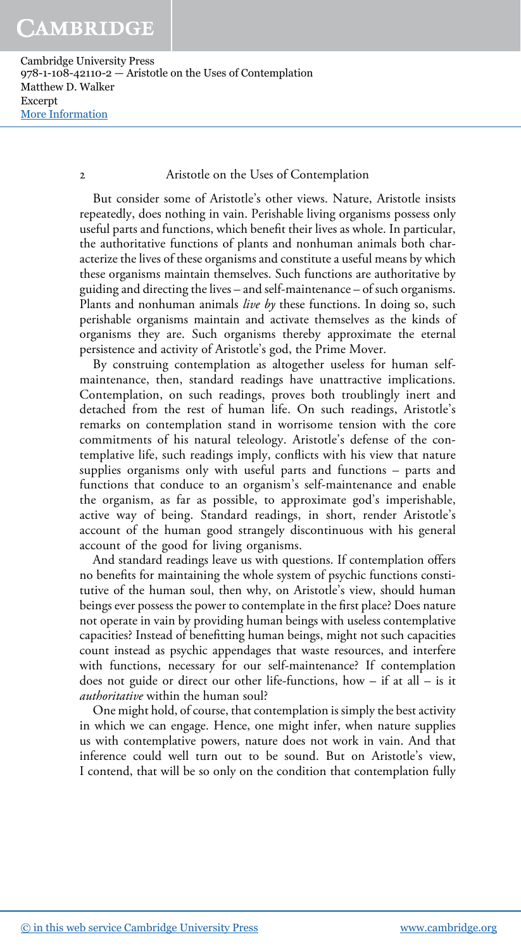2 Aristotle on the Uses of Contemplation

But consider some of Aristotle's other views. Nature, Aristotle insists repeatedly, does nothing in vain. Perishable living organisms possess only useful parts and functions, which benefit their lives as whole. In particular, the authoritative functions of plants and nonhuman animals both characterize the lives of these organisms and constitute a useful means by which these organisms maintain themselves. Such functions are authoritative by guiding and directing the lives – and self-maintenance – of such organisms. Plants and nonhuman animals *live by* these functions. In doing so, such perishable organisms maintain and activate themselves as the kinds of organisms they are. Such organisms thereby approximate the eternal persistence and activity of Aristotle's god, the Prime Mover.

By construing contemplation as altogether useless for human selfmaintenance, then, standard readings have unattractive implications. Contemplation, on such readings, proves both troublingly inert and detached from the rest of human life. On such readings, Aristotle's remarks on contemplation stand in worrisome tension with the core commitments of his natural teleology. Aristotle's defense of the contemplative life, such readings imply, conflicts with his view that nature supplies organisms only with useful parts and functions – parts and functions that conduce to an organism's self-maintenance and enable the organism, as far as possible, to approximate god's imperishable, active way of being. Standard readings, in short, render Aristotle's account of the human good strangely discontinuous with his general account of the good for living organisms.

And standard readings leave us with questions. If contemplation offers no benefits for maintaining the whole system of psychic functions constitutive of the human soul, then why, on Aristotle's view, should human beings ever possess the power to contemplate in the first place? Does nature not operate in vain by providing human beings with useless contemplative capacities? Instead of benefitting human beings, might not such capacities count instead as psychic appendages that waste resources, and interfere with functions, necessary for our self-maintenance? If contemplation does not guide or direct our other life-functions, how – if at all – is it authoritative within the human soul?

One might hold, of course, that contemplation is simply the best activity in which we can engage. Hence, one might infer, when nature supplies us with contemplative powers, nature does not work in vain. And that inference could well turn out to be sound. But on Aristotle's view, I contend, that will be so only on the condition that contemplation fully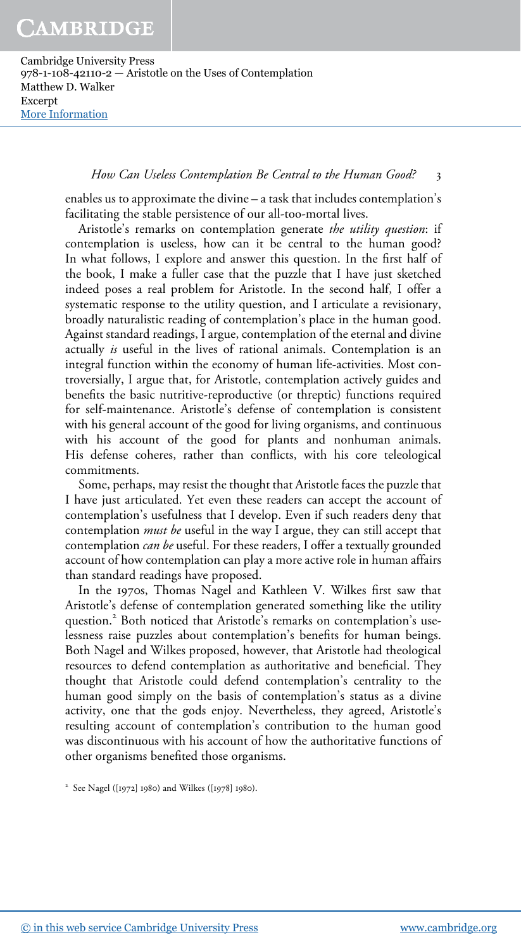## How Can Useless Contemplation Be Central to the Human Good? 3

enables us to approximate the divine – a task that includes contemplation's facilitating the stable persistence of our all-too-mortal lives.

Aristotle's remarks on contemplation generate the utility question: if contemplation is useless, how can it be central to the human good? In what follows, I explore and answer this question. In the first half of the book, I make a fuller case that the puzzle that I have just sketched indeed poses a real problem for Aristotle. In the second half, I offer a systematic response to the utility question, and I articulate a revisionary, broadly naturalistic reading of contemplation's place in the human good. Against standard readings, I argue, contemplation of the eternal and divine actually is useful in the lives of rational animals. Contemplation is an integral function within the economy of human life-activities. Most controversially, I argue that, for Aristotle, contemplation actively guides and benefits the basic nutritive-reproductive (or threptic) functions required for self-maintenance. Aristotle's defense of contemplation is consistent with his general account of the good for living organisms, and continuous with his account of the good for plants and nonhuman animals. His defense coheres, rather than conflicts, with his core teleological commitments.

Some, perhaps, may resist the thought that Aristotle faces the puzzle that I have just articulated. Yet even these readers can accept the account of contemplation's usefulness that I develop. Even if such readers deny that contemplation must be useful in the way I argue, they can still accept that contemplation *can be* useful. For these readers, I offer a textually grounded account of how contemplation can play a more active role in human affairs than standard readings have proposed.

In the 1970s, Thomas Nagel and Kathleen V. Wilkes first saw that Aristotle's defense of contemplation generated something like the utility question.<sup>2</sup> Both noticed that Aristotle's remarks on contemplation's uselessness raise puzzles about contemplation's benefits for human beings. Both Nagel and Wilkes proposed, however, that Aristotle had theological resources to defend contemplation as authoritative and beneficial. They thought that Aristotle could defend contemplation's centrality to the human good simply on the basis of contemplation's status as a divine activity, one that the gods enjoy. Nevertheless, they agreed, Aristotle's resulting account of contemplation's contribution to the human good was discontinuous with his account of how the authoritative functions of other organisms benefited those organisms.

2 See Nagel ([1972] 1980) and Wilkes ([1978] 1980).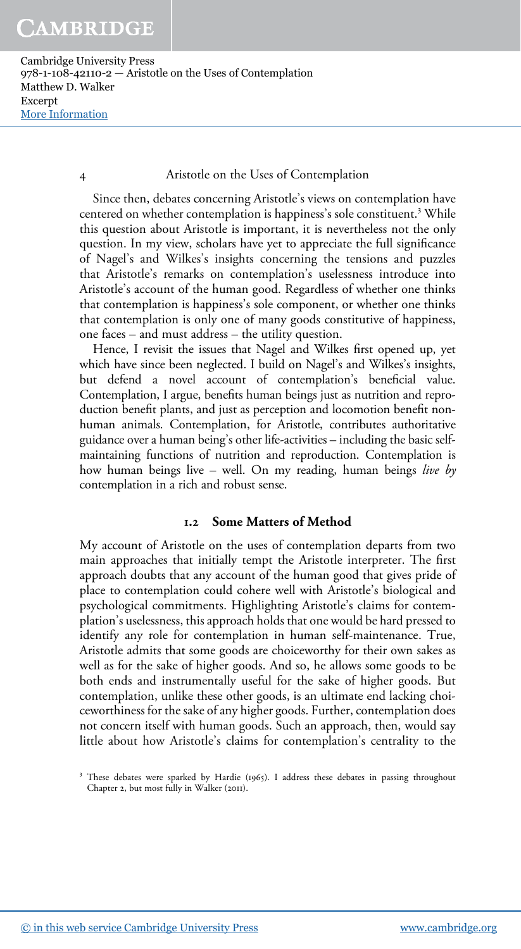4 Aristotle on the Uses of Contemplation

Since then, debates concerning Aristotle's views on contemplation have centered on whether contemplation is happiness's sole constituent.<sup>3</sup> While this question about Aristotle is important, it is nevertheless not the only question. In my view, scholars have yet to appreciate the full significance of Nagel's and Wilkes's insights concerning the tensions and puzzles that Aristotle's remarks on contemplation's uselessness introduce into Aristotle's account of the human good. Regardless of whether one thinks that contemplation is happiness's sole component, or whether one thinks that contemplation is only one of many goods constitutive of happiness, one faces – and must address – the utility question.

Hence, I revisit the issues that Nagel and Wilkes first opened up, yet which have since been neglected. I build on Nagel's and Wilkes's insights, but defend a novel account of contemplation's beneficial value. Contemplation, I argue, benefits human beings just as nutrition and reproduction benefit plants, and just as perception and locomotion benefit nonhuman animals. Contemplation, for Aristotle, contributes authoritative guidance over a human being's other life-activities – including the basic selfmaintaining functions of nutrition and reproduction. Contemplation is how human beings live – well. On my reading, human beings live by contemplation in a rich and robust sense.

### 1.2 Some Matters of Method

My account of Aristotle on the uses of contemplation departs from two main approaches that initially tempt the Aristotle interpreter. The first approach doubts that any account of the human good that gives pride of place to contemplation could cohere well with Aristotle's biological and psychological commitments. Highlighting Aristotle's claims for contemplation's uselessness, this approach holds that one would be hard pressed to identify any role for contemplation in human self-maintenance. True, Aristotle admits that some goods are choiceworthy for their own sakes as well as for the sake of higher goods. And so, he allows some goods to be both ends and instrumentally useful for the sake of higher goods. But contemplation, unlike these other goods, is an ultimate end lacking choiceworthiness for the sake of any higher goods. Further, contemplation does not concern itself with human goods. Such an approach, then, would say little about how Aristotle's claims for contemplation's centrality to the

<sup>&</sup>lt;sup>3</sup> These debates were sparked by Hardie (1965). I address these debates in passing throughout Chapter 2, but most fully in Walker (2011).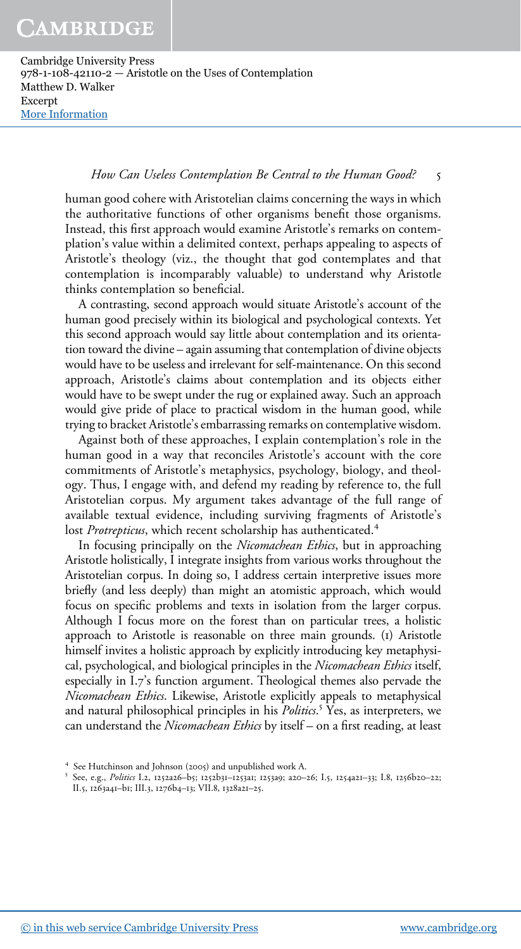## How Can Useless Contemplation Be Central to the Human Good? 5

human good cohere with Aristotelian claims concerning the ways in which the authoritative functions of other organisms benefit those organisms. Instead, this first approach would examine Aristotle's remarks on contemplation's value within a delimited context, perhaps appealing to aspects of Aristotle's theology (viz., the thought that god contemplates and that contemplation is incomparably valuable) to understand why Aristotle thinks contemplation so beneficial.

A contrasting, second approach would situate Aristotle's account of the human good precisely within its biological and psychological contexts. Yet this second approach would say little about contemplation and its orientation toward the divine – again assuming that contemplation of divine objects would have to be useless and irrelevant for self-maintenance. On this second approach, Aristotle's claims about contemplation and its objects either would have to be swept under the rug or explained away. Such an approach would give pride of place to practical wisdom in the human good, while trying to bracket Aristotle's embarrassing remarks on contemplative wisdom.

Against both of these approaches, I explain contemplation's role in the human good in a way that reconciles Aristotle's account with the core commitments of Aristotle's metaphysics, psychology, biology, and theology. Thus, I engage with, and defend my reading by reference to, the full Aristotelian corpus. My argument takes advantage of the full range of available textual evidence, including surviving fragments of Aristotle's lost Protrepticus, which recent scholarship has authenticated.<sup>4</sup>

In focusing principally on the Nicomachean Ethics, but in approaching Aristotle holistically, I integrate insights from various works throughout the Aristotelian corpus. In doing so, I address certain interpretive issues more briefly (and less deeply) than might an atomistic approach, which would focus on specific problems and texts in isolation from the larger corpus. Although I focus more on the forest than on particular trees, a holistic approach to Aristotle is reasonable on three main grounds. (1) Aristotle himself invites a holistic approach by explicitly introducing key metaphysical, psychological, and biological principles in the Nicomachean Ethics itself, especially in I.7's function argument. Theological themes also pervade the Nicomachean Ethics. Likewise, Aristotle explicitly appeals to metaphysical and natural philosophical principles in his *Politics*.<sup>5</sup> Yes, as interpreters, we can understand the Nicomachean Ethics by itself – on a first reading, at least

<sup>4</sup> See Hutchinson and Johnson (2005) and unpublished work A.

<sup>5</sup> See, e.g., Politics I.2, 1252a26–b5; 1252b31–1253a1; 1253a9; a20–26; I.5, 1254a21–33; I.8, 1256b20–22; II.5, 1263a41–b1; III.3, 1276b4–13; VII.8, 1328a21–25.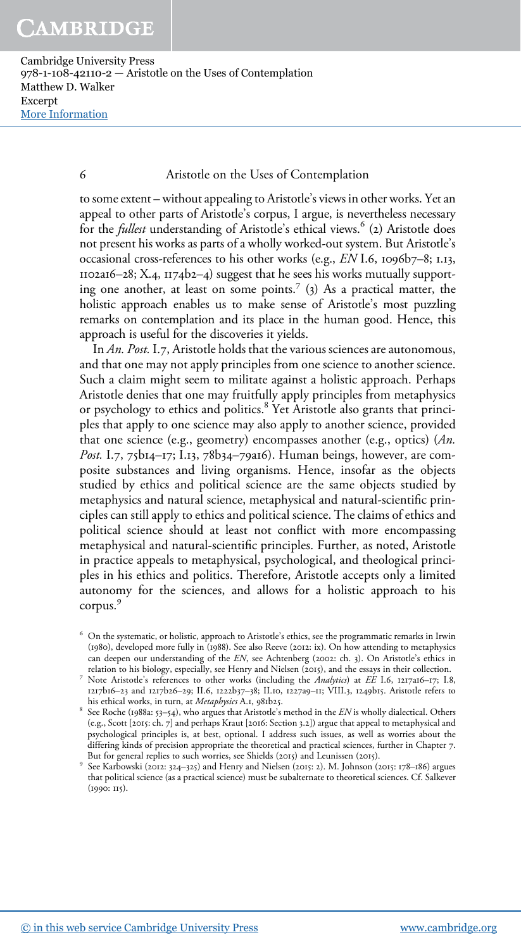6 Aristotle on the Uses of Contemplation

to some extent – without appealing to Aristotle's views in other works. Yet an appeal to other parts of Aristotle's corpus, I argue, is nevertheless necessary for the *fullest* understanding of Aristotle's ethical views.<sup>6</sup> (2) Aristotle does not present his works as parts of a wholly worked-out system. But Aristotle's occasional cross-references to his other works (e.g.,  $EN$ I.6, 1096b7-8; 1.13, 1102a16–28; X.4, 1174b2–4) suggest that he sees his works mutually supporting one another, at least on some points.<sup>7</sup> (3) As a practical matter, the holistic approach enables us to make sense of Aristotle's most puzzling remarks on contemplation and its place in the human good. Hence, this approach is useful for the discoveries it yields.

In An. Post. I.7, Aristotle holds that the various sciences are autonomous, and that one may not apply principles from one science to another science. Such a claim might seem to militate against a holistic approach. Perhaps Aristotle denies that one may fruitfully apply principles from metaphysics or psychology to ethics and politics.<sup>8</sup> Yet Aristotle also grants that principles that apply to one science may also apply to another science, provided that one science (e.g., geometry) encompasses another (e.g., optics) (An. Post. I.7, 75b14–17; I.13, 78b34–79a16). Human beings, however, are composite substances and living organisms. Hence, insofar as the objects studied by ethics and political science are the same objects studied by metaphysics and natural science, metaphysical and natural-scientific principles can still apply to ethics and political science. The claims of ethics and political science should at least not conflict with more encompassing metaphysical and natural-scientific principles. Further, as noted, Aristotle in practice appeals to metaphysical, psychological, and theological principles in his ethics and politics. Therefore, Aristotle accepts only a limited autonomy for the sciences, and allows for a holistic approach to his corpus. 9

- $^6\,$  On the systematic, or holistic, approach to Aristotle's ethics, see the programmatic remarks in Irwin (1980), developed more fully in (1988). See also Reeve (2012: ix). On how attending to metaphysics can deepen our understanding of the EN, see Achtenberg (2002: ch. 3). On Aristotle's ethics in relation to his biology, especially, see Henry and Nielsen (2015), and the essays in their collection.
- <sup>7</sup> Note Aristotle's references to other works (including the Analytics) at EE I.6, 1217a16-17; I.8, 1217b16–23 and 1217b26–29; II.6, 1222b37–38; II.10, 1227a9–11; VIII.3, 1249b15. Aristotle refers to his ethical works, in turn, at Metaphysics A.1, 981b25.
- <sup>8</sup> See Roche (1988a: 53-54), who argues that Aristotle's method in the EN is wholly dialectical. Others (e.g., Scott [2015: ch. 7] and perhaps Kraut [2016: Section 3.2]) argue that appeal to metaphysical and psychological principles is, at best, optional. I address such issues, as well as worries about the differing kinds of precision appropriate the theoretical and practical sciences, further in Chapter 7. But for general replies to such worries, see Shields (2015) and Leunissen (2015).
- 9 See Karbowski (2012: 324–325) and Henry and Nielsen (2015: 2). M. Johnson (2015: 178–186) argues that political science (as a practical science) must be subalternate to theoretical sciences. Cf. Salkever (1990: 115).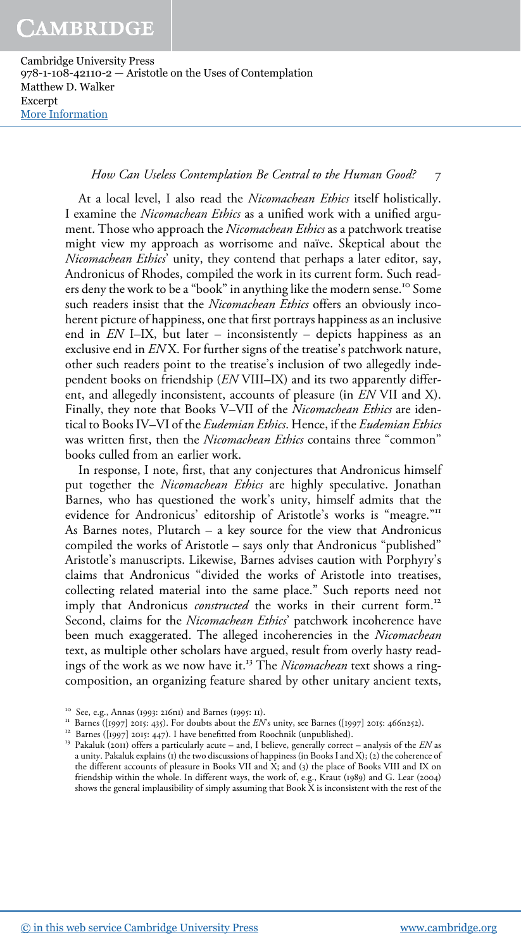# CAMBRIDGE

Cambridge University Press 978-1-108-42110-2 — Aristotle on the Uses of Contemplation Matthew D. Walker Excerpt [More Information](www.cambridge.org/9781108421102)

### How Can Useless Contemplation Be Central to the Human Good? 7

At a local level, I also read the Nicomachean Ethics itself holistically. I examine the Nicomachean Ethics as a unified work with a unified argument. Those who approach the Nicomachean Ethics as a patchwork treatise might view my approach as worrisome and naïve. Skeptical about the Nicomachean Ethics' unity, they contend that perhaps a later editor, say, Andronicus of Rhodes, compiled the work in its current form. Such readers deny the work to be a "book" in anything like the modern sense.<sup>10</sup> Some such readers insist that the Nicomachean Ethics offers an obviously incoherent picture of happiness, one that first portrays happiness as an inclusive end in EN I–IX, but later – inconsistently – depicts happiness as an exclusive end in EN X. For further signs of the treatise's patchwork nature, other such readers point to the treatise's inclusion of two allegedly independent books on friendship (EN VIII–IX) and its two apparently different, and allegedly inconsistent, accounts of pleasure (in EN VII and X). Finally, they note that Books V–VII of the Nicomachean Ethics are identical to Books IV–VI of the Eudemian Ethics. Hence, if the Eudemian Ethics was written first, then the *Nicomachean Ethics* contains three "common" books culled from an earlier work.

In response, I note, first, that any conjectures that Andronicus himself put together the Nicomachean Ethics are highly speculative. Jonathan Barnes, who has questioned the work's unity, himself admits that the evidence for Andronicus' editorship of Aristotle's works is "meagre."<sup>11</sup> As Barnes notes, Plutarch – a key source for the view that Andronicus compiled the works of Aristotle – says only that Andronicus "published" Aristotle's manuscripts. Likewise, Barnes advises caution with Porphyry's claims that Andronicus "divided the works of Aristotle into treatises, collecting related material into the same place." Such reports need not imply that Andronicus *constructed* the works in their current form.<sup>12</sup> Second, claims for the Nicomachean Ethics' patchwork incoherence have been much exaggerated. The alleged incoherencies in the Nicomachean text, as multiple other scholars have argued, result from overly hasty readings of the work as we now have it.<sup>13</sup> The *Nicomachean* text shows a ringcomposition, an organizing feature shared by other unitary ancient texts,

<sup>10</sup> See, e.g., Annas (1993: 216n1) and Barnes (1995: 11).

<sup>&</sup>lt;sup>11</sup> Barnes ([1997] 2015: 435). For doubts about the EN's unity, see Barnes ([1997] 2015: 466n252).

 $12$  Barnes ([1997] 2015: 447). I have benefitted from Roochnik (unpublished).

<sup>&</sup>lt;sup>13</sup> Pakaluk (2011) offers a particularly acute – and, I believe, generally correct – analysis of the  $EN$  as a unity. Pakaluk explains (1) the two discussions of happiness (in Books I and X); (2) the coherence of the different accounts of pleasure in Books VII and X; and (3) the place of Books VIII and IX on friendship within the whole. In different ways, the work of, e.g., Kraut (1989) and G. Lear (2004) shows the general implausibility of simply assuming that Book X is inconsistent with the rest of the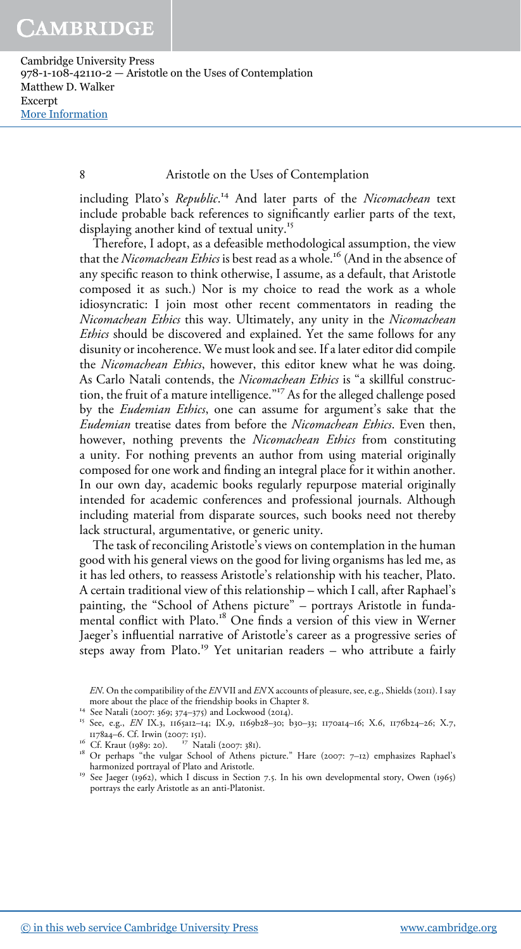8 Aristotle on the Uses of Contemplation

including Plato's Republic.<sup>14</sup> And later parts of the Nicomachean text include probable back references to significantly earlier parts of the text, displaying another kind of textual unity.<sup>15</sup>

Therefore, I adopt, as a defeasible methodological assumption, the view that the Nicomachean Ethics is best read as a whole.<sup>16</sup> (And in the absence of any specific reason to think otherwise, I assume, as a default, that Aristotle composed it as such.) Nor is my choice to read the work as a whole idiosyncratic: I join most other recent commentators in reading the Nicomachean Ethics this way. Ultimately, any unity in the Nicomachean Ethics should be discovered and explained. Yet the same follows for any disunity or incoherence. We must look and see. If a later editor did compile the Nicomachean Ethics, however, this editor knew what he was doing. As Carlo Natali contends, the Nicomachean Ethics is "a skillful construction, the fruit of a mature intelligence." <sup>17</sup> As for the alleged challenge posed by the Eudemian Ethics, one can assume for argument's sake that the Eudemian treatise dates from before the Nicomachean Ethics. Even then, however, nothing prevents the Nicomachean Ethics from constituting a unity. For nothing prevents an author from using material originally composed for one work and finding an integral place for it within another. In our own day, academic books regularly repurpose material originally intended for academic conferences and professional journals. Although including material from disparate sources, such books need not thereby lack structural, argumentative, or generic unity.

The task of reconciling Aristotle's views on contemplation in the human good with his general views on the good for living organisms has led me, as it has led others, to reassess Aristotle's relationship with his teacher, Plato. A certain traditional view of this relationship – which I call, after Raphael's painting, the "School of Athens picture" – portrays Aristotle in fundamental conflict with Plato.<sup>18</sup> One finds a version of this view in Werner Jaeger's influential narrative of Aristotle's career as a progressive series of steps away from Plato.<sup>19</sup> Yet unitarian readers – who attribute a fairly

<sup>14</sup> See Natali (2007: 369; 374–375) and Lockwood (2014).

EN. On the compatibility of the EN VII and EN X accounts of pleasure, see, e.g., Shields (2011). I say more about the place of the friendship books in Chapter 8.

<sup>15</sup> See, e.g., EN IX.3, 1165a12–14; IX.9, 1169b28–30; b30–33; 1170a14–16; X.6, 1176b24–26; X.7, 1178a4–6. Cf. Irwin (2007: 151).

<sup>&</sup>lt;sup>16</sup> Cf. Kraut (1989: 20). <sup>17</sup> Natali (2007: 381).

<sup>1178</sup>a4–6. Cr. Irwin (2007: 1317.<br><sup>16</sup> Cf. Kraut (1989: 20). <sup>17</sup> Natali (2007: 381).<br><sup>18</sup> Or perhaps "the vulgar School of Athens picture." Hare (2007: 7–12) emphasizes Raphael's harmonized portrayal of Plato and Aristotle.

<sup>&</sup>lt;sup>19</sup> See Jaeger (1962), which I discuss in Section 7.5. In his own developmental story, Owen (1965) portrays the early Aristotle as an anti-Platonist.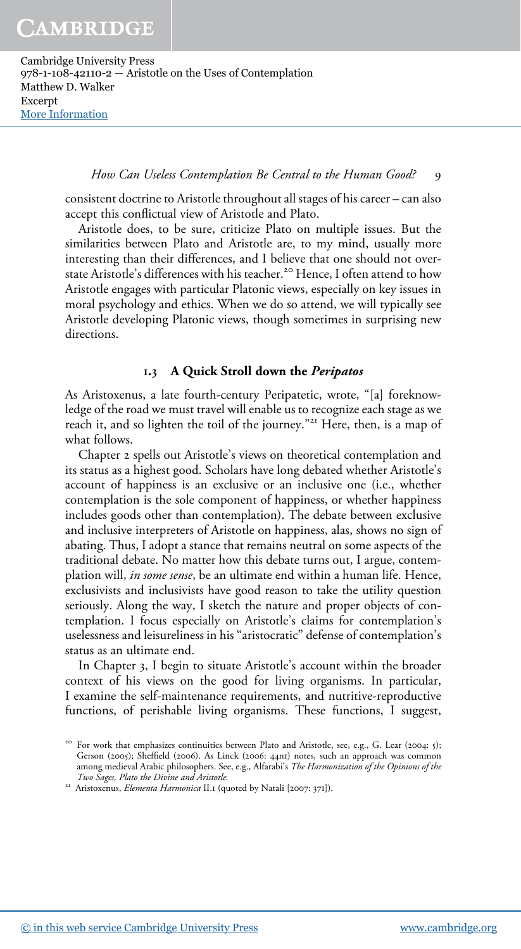### How Can Useless Contemplation Be Central to the Human Good? 9

consistent doctrine to Aristotle throughout all stages of his career – can also accept this conflictual view of Aristotle and Plato.

Aristotle does, to be sure, criticize Plato on multiple issues. But the similarities between Plato and Aristotle are, to my mind, usually more interesting than their differences, and I believe that one should not overstate Aristotle's differences with his teacher.<sup>20</sup> Hence, I often attend to how Aristotle engages with particular Platonic views, especially on key issues in moral psychology and ethics. When we do so attend, we will typically see Aristotle developing Platonic views, though sometimes in surprising new directions.

### 1.3 A Quick Stroll down the Peripatos

As Aristoxenus, a late fourth-century Peripatetic, wrote, "[a] foreknowledge of the road we must travel will enable us to recognize each stage as we reach it, and so lighten the toil of the journey."<sup>21</sup> Here, then, is a map of what follows.

Chapter 2 spells out Aristotle's views on theoretical contemplation and its status as a highest good. Scholars have long debated whether Aristotle's account of happiness is an exclusive or an inclusive one (i.e., whether contemplation is the sole component of happiness, or whether happiness includes goods other than contemplation). The debate between exclusive and inclusive interpreters of Aristotle on happiness, alas, shows no sign of abating. Thus, I adopt a stance that remains neutral on some aspects of the traditional debate. No matter how this debate turns out, I argue, contemplation will, in some sense, be an ultimate end within a human life. Hence, exclusivists and inclusivists have good reason to take the utility question seriously. Along the way, I sketch the nature and proper objects of contemplation. I focus especially on Aristotle's claims for contemplation's uselessness and leisureliness in his "aristocratic" defense of contemplation's status as an ultimate end.

In Chapter 3, I begin to situate Aristotle's account within the broader context of his views on the good for living organisms. In particular, I examine the self-maintenance requirements, and nutritive-reproductive functions, of perishable living organisms. These functions, I suggest,

<sup>&</sup>lt;sup>20</sup> For work that emphasizes continuities between Plato and Aristotle, see, e.g., G. Lear (2004: 5); Gerson (2005); Sheffield (2006). As Linck (2006: 44n1) notes, such an approach was common among medieval Arabic philosophers. See, e.g., Alfarabi's The Harmonization of the Opinions of the Two Sages, Plato the Divine and Aristotle.

<sup>&</sup>lt;sup>21</sup> Aristoxenus, *Elementa Harmonica* II.1 (quoted by Natali [2007: 371]).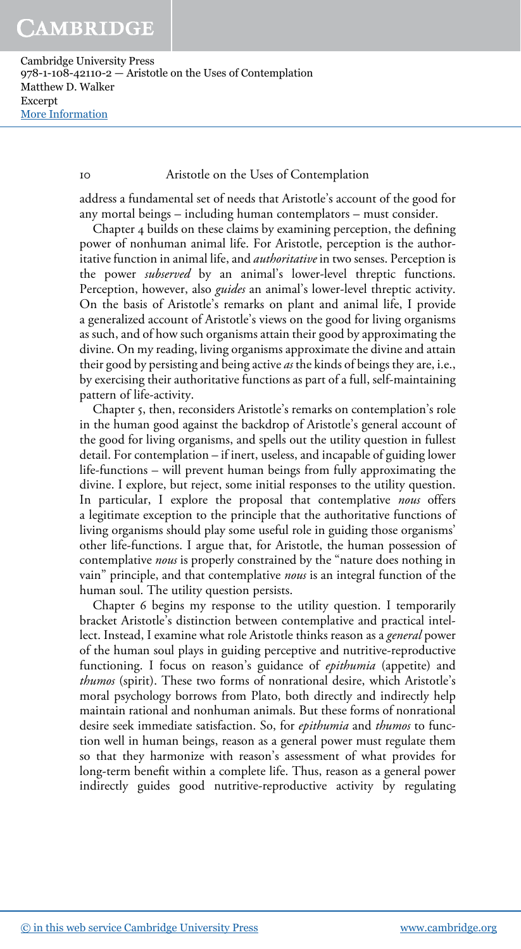10 Aristotle on the Uses of Contemplation

address a fundamental set of needs that Aristotle's account of the good for any mortal beings – including human contemplators – must consider.

Chapter 4 builds on these claims by examining perception, the defining power of nonhuman animal life. For Aristotle, perception is the authoritative function in animal life, and *authoritative* in two senses. Perception is the power *subserved* by an animal's lower-level threptic functions. Perception, however, also *guides* an animal's lower-level threptic activity. On the basis of Aristotle's remarks on plant and animal life, I provide a generalized account of Aristotle's views on the good for living organisms as such, and of how such organisms attain their good by approximating the divine. On my reading, living organisms approximate the divine and attain their good by persisting and being active *as* the kinds of beings they are, i.e., by exercising their authoritative functions as part of a full, self-maintaining pattern of life-activity.

Chapter 5, then, reconsiders Aristotle's remarks on contemplation's role in the human good against the backdrop of Aristotle's general account of the good for living organisms, and spells out the utility question in fullest detail. For contemplation – if inert, useless, and incapable of guiding lower life-functions – will prevent human beings from fully approximating the divine. I explore, but reject, some initial responses to the utility question. In particular, I explore the proposal that contemplative nous offers a legitimate exception to the principle that the authoritative functions of living organisms should play some useful role in guiding those organisms' other life-functions. I argue that, for Aristotle, the human possession of contemplative *nous* is properly constrained by the "nature does nothing in vain" principle, and that contemplative nous is an integral function of the human soul. The utility question persists.

Chapter 6 begins my response to the utility question. I temporarily bracket Aristotle's distinction between contemplative and practical intellect. Instead, I examine what role Aristotle thinks reason as a general power of the human soul plays in guiding perceptive and nutritive-reproductive functioning. I focus on reason's guidance of *epithumia* (appetite) and thumos (spirit). These two forms of nonrational desire, which Aristotle's moral psychology borrows from Plato, both directly and indirectly help maintain rational and nonhuman animals. But these forms of nonrational desire seek immediate satisfaction. So, for *epithumia* and *thumos* to function well in human beings, reason as a general power must regulate them so that they harmonize with reason's assessment of what provides for long-term benefit within a complete life. Thus, reason as a general power indirectly guides good nutritive-reproductive activity by regulating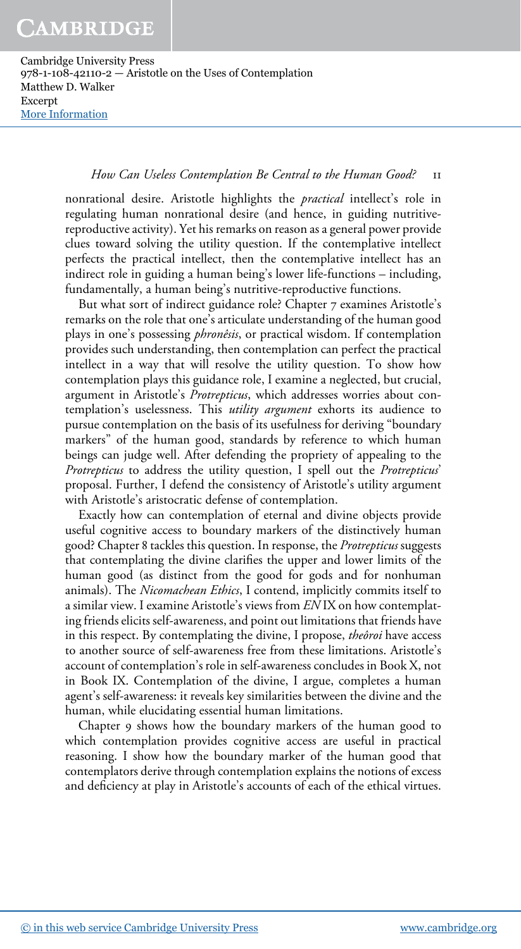## How Can Useless Contemplation Be Central to the Human Good? 11

nonrational desire. Aristotle highlights the *practical* intellect's role in regulating human nonrational desire (and hence, in guiding nutritivereproductive activity). Yet his remarks on reason as a general power provide clues toward solving the utility question. If the contemplative intellect perfects the practical intellect, then the contemplative intellect has an indirect role in guiding a human being's lower life-functions – including, fundamentally, a human being's nutritive-reproductive functions.

But what sort of indirect guidance role? Chapter 7 examines Aristotle's remarks on the role that one's articulate understanding of the human good plays in one's possessing *phronêsis*, or practical wisdom. If contemplation provides such understanding, then contemplation can perfect the practical intellect in a way that will resolve the utility question. To show how contemplation plays this guidance role, I examine a neglected, but crucial, argument in Aristotle's Protrepticus, which addresses worries about contemplation's uselessness. This *utility argument* exhorts its audience to pursue contemplation on the basis of its usefulness for deriving "boundary markers" of the human good, standards by reference to which human beings can judge well. After defending the propriety of appealing to the Protrepticus to address the utility question, I spell out the Protrepticus' proposal. Further, I defend the consistency of Aristotle's utility argument with Aristotle's aristocratic defense of contemplation.

Exactly how can contemplation of eternal and divine objects provide useful cognitive access to boundary markers of the distinctively human good? Chapter 8 tackles this question. In response, the Protrepticus suggests that contemplating the divine clarifies the upper and lower limits of the human good (as distinct from the good for gods and for nonhuman animals). The Nicomachean Ethics, I contend, implicitly commits itself to a similar view. I examine Aristotle's views from EN IX on how contemplating friends elicits self-awareness, and point out limitations that friends have in this respect. By contemplating the divine, I propose, *theôroi* have access to another source of self-awareness free from these limitations. Aristotle's account of contemplation's role in self-awareness concludes in Book X, not in Book IX. Contemplation of the divine, I argue, completes a human agent's self-awareness: it reveals key similarities between the divine and the human, while elucidating essential human limitations.

Chapter 9 shows how the boundary markers of the human good to which contemplation provides cognitive access are useful in practical reasoning. I show how the boundary marker of the human good that contemplators derive through contemplation explains the notions of excess and deficiency at play in Aristotle's accounts of each of the ethical virtues.